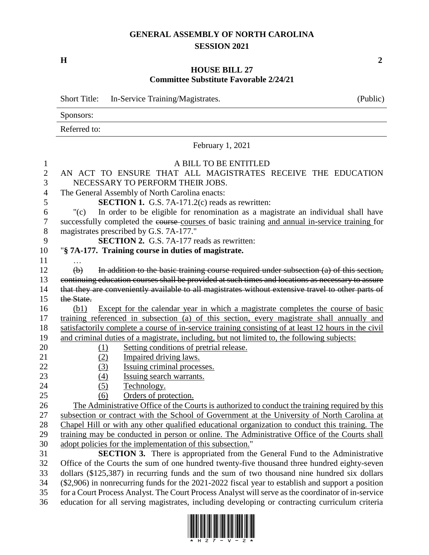## **GENERAL ASSEMBLY OF NORTH CAROLINA SESSION 2021**

**H 2**

## **HOUSE BILL 27 Committee Substitute Favorable 2/24/21**

|                | <b>Short Title:</b><br>In-Service Training/Magistrates.<br>(Public)                                  |  |
|----------------|------------------------------------------------------------------------------------------------------|--|
|                | Sponsors:                                                                                            |  |
|                | Referred to:                                                                                         |  |
|                | February 1, 2021                                                                                     |  |
| $\mathbf{1}$   | A BILL TO BE ENTITLED                                                                                |  |
| $\overline{2}$ | AN ACT TO ENSURE THAT ALL MAGISTRATES RECEIVE THE EDUCATION                                          |  |
| 3              | NECESSARY TO PERFORM THEIR JOBS.                                                                     |  |
| $\overline{4}$ | The General Assembly of North Carolina enacts:                                                       |  |
| 5              | <b>SECTION 1.</b> G.S. 7A-171.2(c) reads as rewritten:                                               |  |
| 6              | In order to be eligible for renomination as a magistrate an individual shall have<br>"(c)            |  |
| 7              | successfully completed the course courses of basic training and annual in-service training for       |  |
| $8\,$          | magistrates prescribed by G.S. 7A-177."                                                              |  |
| 9              | <b>SECTION 2.</b> G.S. 7A-177 reads as rewritten:                                                    |  |
| 10             | "§ 7A-177. Training course in duties of magistrate.                                                  |  |
| 11             |                                                                                                      |  |
| 12             | In addition to the basic training course required under subsection (a) of this section,<br>$\Theta$  |  |
| 13             | continuing education courses shall be provided at such times and locations as necessary to assure    |  |
| 14             | that they are conveniently available to all magistrates without extensive travel to other parts of   |  |
| 15             | the State.                                                                                           |  |
| 16             | Except for the calendar year in which a magistrate completes the course of basic<br>(b1)             |  |
| 17             | training referenced in subsection (a) of this section, every magistrate shall annually and           |  |
| 18             | satisfactorily complete a course of in-service training consisting of at least 12 hours in the civil |  |
| 19             | and criminal duties of a magistrate, including, but not limited to, the following subjects:          |  |
| 20             | Setting conditions of pretrial release.<br><u>(1)</u>                                                |  |
| 21             | (2)<br>Impaired driving laws.                                                                        |  |
| 22             | (3)<br>Issuing criminal processes.                                                                   |  |
| 23             | Issuing search warrants.<br>(4)                                                                      |  |
| 24             | (5)<br>Technology.                                                                                   |  |
| 25             | Orders of protection.<br>(6)                                                                         |  |
| 26             | The Administrative Office of the Courts is authorized to conduct the training required by this       |  |
| 27             | subsection or contract with the School of Government at the University of North Carolina at          |  |
| 28             | Chapel Hill or with any other qualified educational organization to conduct this training. The       |  |
| 29             | training may be conducted in person or online. The Administrative Office of the Courts shall         |  |
| 30             | adopt policies for the implementation of this subsection."                                           |  |
| 31             | <b>SECTION 3.</b> There is appropriated from the General Fund to the Administrative                  |  |
| 32             | Office of the Courts the sum of one hundred twenty-five thousand three hundred eighty-seven          |  |
| 33             | dollars (\$125,387) in recurring funds and the sum of two thousand nine hundred six dollars          |  |
| 34             | (\$2,906) in nonrecurring funds for the 2021-2022 fiscal year to establish and support a position    |  |
| 35             | for a Court Process Analyst. The Court Process Analyst will serve as the coordinator of in-service   |  |
| 36             | education for all serving magistrates, including developing or contracting curriculum criteria       |  |